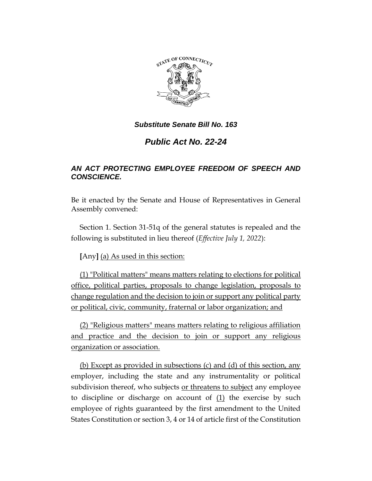

### *Substitute Senate Bill No. 163*

# *Public Act No. 22-24*

## *AN ACT PROTECTING EMPLOYEE FREEDOM OF SPEECH AND CONSCIENCE.*

Be it enacted by the Senate and House of Representatives in General Assembly convened:

Section 1. Section 31-51q of the general statutes is repealed and the following is substituted in lieu thereof (*Effective July 1, 2022*):

**[**Any**]** (a) As used in this section:

(1) "Political matters" means matters relating to elections for political office, political parties, proposals to change legislation, proposals to change regulation and the decision to join or support any political party or political, civic, community, fraternal or labor organization; and

(2) "Religious matters" means matters relating to religious affiliation and practice and the decision to join or support any religious organization or association.

(b) Except as provided in subsections (c) and (d) of this section, any employer, including the state and any instrumentality or political subdivision thereof, who subjects or threatens to subject any employee to discipline or discharge on account of  $(1)$  the exercise by such employee of rights guaranteed by the first amendment to the United States Constitution or section 3, 4 or 14 of article first of the Constitution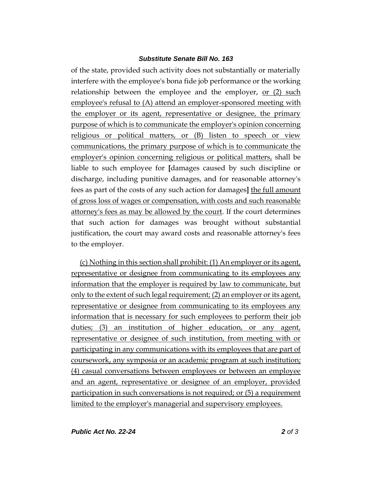#### *Substitute Senate Bill No. 163*

of the state, provided such activity does not substantially or materially interfere with the employee's bona fide job performance or the working relationship between the employee and the employer, or (2) such employee's refusal to (A) attend an employer-sponsored meeting with the employer or its agent, representative or designee, the primary purpose of which is to communicate the employer's opinion concerning religious or political matters, or (B) listen to speech or view communications, the primary purpose of which is to communicate the employer's opinion concerning religious or political matters, shall be liable to such employee for **[**damages caused by such discipline or discharge, including punitive damages, and for reasonable attorney's fees as part of the costs of any such action for damages**]** the full amount of gross loss of wages or compensation, with costs and such reasonable attorney's fees as may be allowed by the court. If the court determines that such action for damages was brought without substantial justification, the court may award costs and reasonable attorney's fees to the employer.

(c) Nothing in this section shall prohibit: (1) An employer or its agent, representative or designee from communicating to its employees any information that the employer is required by law to communicate, but only to the extent of such legal requirement; (2) an employer or its agent, representative or designee from communicating to its employees any information that is necessary for such employees to perform their job duties; (3) an institution of higher education, or any agent, representative or designee of such institution, from meeting with or participating in any communications with its employees that are part of coursework, any symposia or an academic program at such institution; (4) casual conversations between employees or between an employee and an agent, representative or designee of an employer, provided participation in such conversations is not required; or (5) a requirement limited to the employer's managerial and supervisory employees.